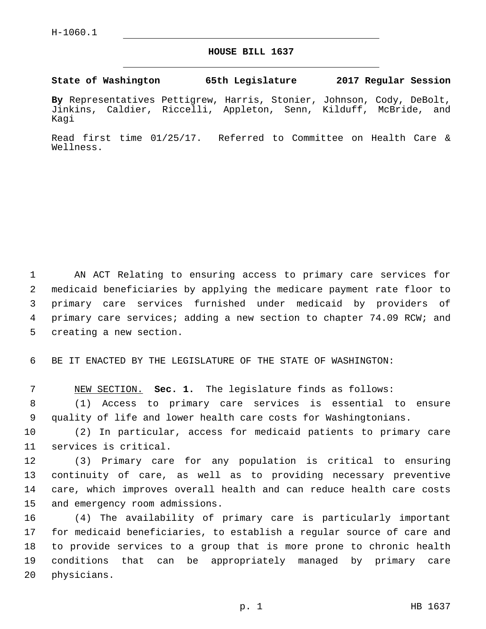## **HOUSE BILL 1637**

**State of Washington 65th Legislature 2017 Regular Session**

**By** Representatives Pettigrew, Harris, Stonier, Johnson, Cody, DeBolt, Jinkins, Caldier, Riccelli, Appleton, Senn, Kilduff, McBride, and Kagi

Read first time 01/25/17. Referred to Committee on Health Care & Wellness.

 AN ACT Relating to ensuring access to primary care services for medicaid beneficiaries by applying the medicare payment rate floor to primary care services furnished under medicaid by providers of primary care services; adding a new section to chapter 74.09 RCW; and 5 creating a new section.

6 BE IT ENACTED BY THE LEGISLATURE OF THE STATE OF WASHINGTON:

7 NEW SECTION. **Sec. 1.** The legislature finds as follows:

8 (1) Access to primary care services is essential to ensure 9 quality of life and lower health care costs for Washingtonians.

10 (2) In particular, access for medicaid patients to primary care 11 services is critical.

 (3) Primary care for any population is critical to ensuring continuity of care, as well as to providing necessary preventive care, which improves overall health and can reduce health care costs 15 and emergency room admissions.

 (4) The availability of primary care is particularly important for medicaid beneficiaries, to establish a regular source of care and to provide services to a group that is more prone to chronic health conditions that can be appropriately managed by primary care 20 physicians.